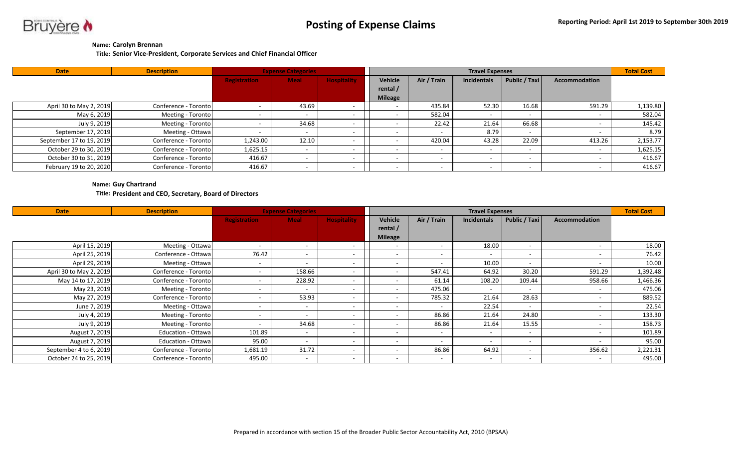

## **Name: Carolyn Brennan**

**Title: Senior Vice-President, Corporate Services and Chief Financial Officer**

| <b>Date</b>              | <b>Description</b>   | <b>Expense Categories</b> |             | <b>Total Cost</b>  |                |             |             |               |                      |          |
|--------------------------|----------------------|---------------------------|-------------|--------------------|----------------|-------------|-------------|---------------|----------------------|----------|
|                          |                      | <b>Registration</b>       | <b>Meal</b> | <b>Hospitality</b> | Vehicle        | Air / Train | Incidentals | Public / Taxi | <b>Accommodation</b> |          |
|                          |                      |                           |             |                    | rental /       |             |             |               |                      |          |
|                          |                      |                           |             |                    | <b>Mileage</b> |             |             |               |                      |          |
| April 30 to May 2, 2019  | Conference - Toronto |                           | 43.69       |                    |                | 435.84      | 52.30       | 16.68         | 591.29               | 1,139.80 |
| May 6, 2019              | Meeting - Toronto    |                           |             |                    |                | 582.04      |             | . .           |                      | 582.04   |
| July 9, 2019             | Meeting - Toronto    |                           | 34.68       |                    |                | 22.42       | 21.64       | 66.68         |                      | 145.42   |
| September 17, 2019       | Meeting - Ottawa     |                           |             |                    |                |             | 8.79        |               |                      | 8.79     |
| September 17 to 19, 2019 | Conference - Toronto | 1,243.00                  | 12.10       |                    |                | 420.04      | 43.28       | 22.09         | 413.26               | 2,153.77 |
| October 29 to 30, 2019   | Conference - Toronto | 1,625.15                  |             |                    |                |             |             | . .           |                      | 1,625.15 |
| October 30 to 31, 2019   | Conference - Toronto | 416.67                    |             |                    |                |             |             |               |                      | 416.67   |
| February 19 to 20, 2020  | Conference - Toronto | 416.67                    |             |                    |                |             |             |               |                      | 416.67   |

## **Name: Guy Chartrand**

**Title: President and CEO, Secretary, Board of Directors**

| <b>Date</b>             | <b>Description</b>        |                          | <b>Expense Categories</b> |                    |                          | <b>Travel Expenses</b>   |                          |                          |                          |          |  |
|-------------------------|---------------------------|--------------------------|---------------------------|--------------------|--------------------------|--------------------------|--------------------------|--------------------------|--------------------------|----------|--|
|                         |                           | <b>Registration</b>      | <b>Meal</b>               | <b>Hospitality</b> | Vehicle                  | Air / Train              | <b>Incidentals</b>       | Public / Taxi            | <b>Accommodation</b>     |          |  |
|                         |                           |                          |                           |                    | rental /                 |                          |                          |                          |                          |          |  |
|                         |                           |                          |                           |                    | <b>Mileage</b>           |                          |                          |                          |                          |          |  |
| April 15, 2019          | Meeting - Ottawa          | $\overline{\phantom{a}}$ | $\sim$                    |                    | $\overline{\phantom{a}}$ |                          | 18.00                    | $\sim$                   |                          | 18.00    |  |
| April 25, 2019          | Conference - Ottawal      | 76.42                    | $\sim$                    |                    | $\sim$                   |                          | $\sim$                   |                          |                          | 76.42    |  |
| April 29, 2019          | Meeting - Ottawa          | $\overline{\phantom{a}}$ | $\overline{\phantom{a}}$  |                    | ۰                        |                          | 10.00                    | $\sim$                   |                          | 10.00    |  |
| April 30 to May 2, 2019 | Conference - Toronto      | $\overline{\phantom{a}}$ | 158.66                    |                    | ٠                        | 547.41                   | 64.92                    | 30.20                    | 591.29                   | 1,392.48 |  |
| May 14 to 17, 2019      | Conference - Toronto      | $\overline{\phantom{a}}$ | 228.92                    |                    | -                        | 61.14                    | 108.20                   | 109.44                   | 958.66                   | 1,466.36 |  |
| May 23, 2019            | Meeting - Toronto         | $\overline{\phantom{a}}$ |                           |                    | ٠                        | 475.06                   |                          |                          |                          | 475.06   |  |
| May 27, 2019            | Conference - Toronto      | $\sim$                   | 53.93                     |                    | . .                      | 785.32                   | 21.64                    | 28.63                    |                          | 889.52   |  |
| June 7, 2019            | Meeting - Ottawa          | $\overline{\phantom{a}}$ | $\sim$                    |                    | ۰                        |                          | 22.54                    | $\sim$                   |                          | 22.54    |  |
| July 4, 2019            | Meeting - Toronto         | $\overline{\phantom{a}}$ | $\sim$                    |                    |                          | 86.86                    | 21.64                    | 24.80                    |                          | 133.30   |  |
| July 9, 2019            | Meeting - Toronto         | $\overline{\phantom{a}}$ | 34.68                     |                    | -                        | 86.86                    | 21.64                    | 15.55                    |                          | 158.73   |  |
| August 7, 2019          | <b>Education - Ottawa</b> | 101.89                   | $\sim$                    |                    | $\sim$                   | $\sim$                   | $\overline{\phantom{0}}$ | $\sim$                   |                          | 101.89   |  |
| August 7, 2019          | <b>Education - Ottawa</b> | 95.00                    | $\overline{\phantom{a}}$  |                    | $\sim$                   |                          | $\sim$                   | $\overline{\phantom{a}}$ |                          | 95.00    |  |
| September 4 to 6, 2019  | Conference - Toronto      | 1,681.19                 | 31.72                     |                    | $\overline{\phantom{a}}$ | 86.86                    | 64.92                    | $\sim$                   | 356.62                   | 2,221.31 |  |
| October 24 to 25, 2019  | Conference - Toronto      | 495.00                   | $\overline{\phantom{0}}$  |                    | ۰                        | $\overline{\phantom{0}}$ | $\overline{\phantom{a}}$ | $\overline{\phantom{a}}$ | $\overline{\phantom{a}}$ | 495.00   |  |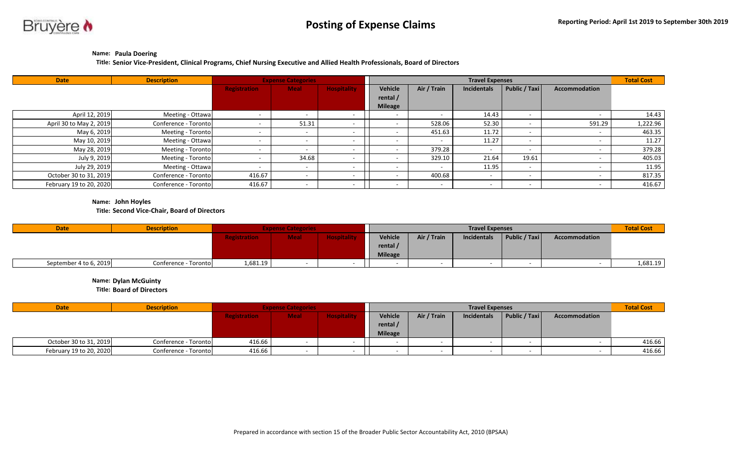

## **Name: Paula Doering**

**Title: Senior Vice-President, Clinical Programs, Chief Nursing Executive and Allied Health Professionals, Board of Directors**

| <b>Date</b>             | <b>Description</b>   |                          | <b>Expense Categories</b> |                    |                | <b>Travel Expenses</b> |                    |                          |                      |          |  |
|-------------------------|----------------------|--------------------------|---------------------------|--------------------|----------------|------------------------|--------------------|--------------------------|----------------------|----------|--|
|                         |                      | <b>Registration</b>      | <b>Meal</b>               | <b>Hospitality</b> | Vehicle        | Air / Train            | <b>Incidentals</b> | Public / Taxi            | <b>Accommodation</b> |          |  |
|                         |                      |                          |                           |                    | rental /       |                        |                    |                          |                      |          |  |
|                         |                      |                          |                           |                    | <b>Mileage</b> |                        |                    |                          |                      |          |  |
| April 12, 2019          | Meeting - Ottawa     | $\overline{\phantom{0}}$ |                           |                    | $\sim$         |                        | 14.43              |                          |                      | 14.43    |  |
| April 30 to May 2, 2019 | Conference - Toronto | $\overline{\phantom{a}}$ | 51.31                     |                    |                | 528.06                 | 52.30              |                          | 591.29               | 1,222.96 |  |
| May 6, 2019             | Meeting - Toronto    |                          |                           |                    |                | 451.63                 | 11.72              |                          |                      | 463.35   |  |
| May 10, 2019            | Meeting - Ottawa     |                          |                           |                    |                |                        | 11.27              |                          |                      | 11.27    |  |
| May 28, 2019            | Meeting - Toronto    |                          |                           |                    |                | 379.28                 |                    | $\overline{\phantom{a}}$ |                      | 379.28   |  |
| July 9, 2019            | Meeting - Toronto    |                          | 34.68                     |                    |                | 329.10                 | 21.64              | 19.61                    |                      | 405.03   |  |
| July 29, 2019           | Meeting - Ottawa     | $\overline{\phantom{a}}$ |                           |                    |                |                        | 11.95              |                          |                      | 11.95    |  |
| October 30 to 31, 2019  | Conference - Toronto | 416.67                   |                           |                    |                | 400.68                 |                    |                          |                      | 817.35   |  |
| February 19 to 20, 2020 | Conference - Toronto | 416.67                   |                           |                    |                |                        |                    |                          |                      | 416.67   |  |

**Name: John Hoyles**

**Title: Second Vice-Chair, Board of Directors**

| <b>Date</b>            | <b>Description</b>   | <b>Expense Categories</b> |             |  | <b>Travel Expenses</b> |             |             |                               |               | <b>Total Cost</b> |
|------------------------|----------------------|---------------------------|-------------|--|------------------------|-------------|-------------|-------------------------------|---------------|-------------------|
|                        |                      | <b>Registration</b>       | <b>Meal</b> |  | Vehicle                | Air / Train | Incidentals | $\vert$ Public / Taxi $\vert$ | Accommodation |                   |
|                        |                      |                           |             |  | rental /               |             |             |                               |               |                   |
|                        |                      |                           |             |  | <b>Mileage</b>         |             |             |                               |               |                   |
| September 4 to 6, 2019 | Conference - Toronto | 1,681.19                  |             |  |                        |             |             |                               |               | 1,681.19          |

**Name: Dylan McGuinty**

**Title: Board of Directors**

| Date                    | <b>Description</b>   | <b>Expense Categories</b> |             |                    |                | <b>Total Cost</b> |                    |               |               |        |
|-------------------------|----------------------|---------------------------|-------------|--------------------|----------------|-------------------|--------------------|---------------|---------------|--------|
|                         |                      | <b>Registration</b>       | <b>Meal</b> | <b>Hospitality</b> | Vehicle        | Air / Train       | <b>Incidentals</b> | Public / Taxi | Accommodation |        |
|                         |                      |                           |             |                    | rental /       |                   |                    |               |               |        |
|                         |                      |                           |             |                    | <b>Mileage</b> |                   |                    |               |               |        |
| October 30 to 31, 2019  | Conference - Toronto | 416.66                    |             |                    |                |                   |                    |               |               | 416.66 |
| February 19 to 20, 2020 | Conference - Toronto | 416.66                    |             |                    |                |                   |                    |               |               | 416.66 |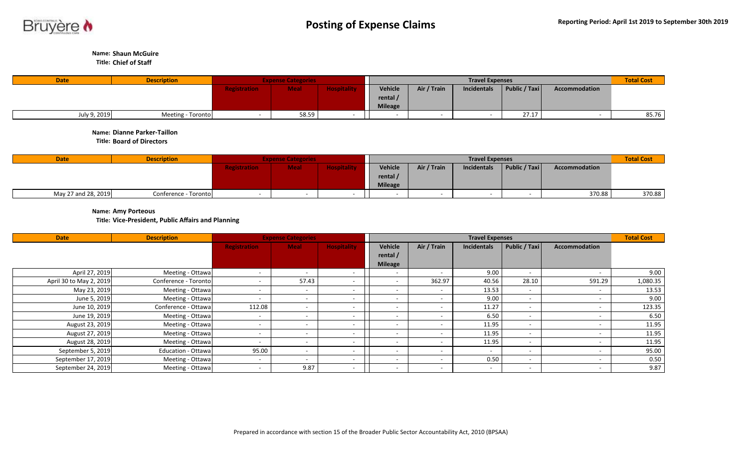

**Name: Shaun McGuire**

**Title: Chief of Staff** 

| <b>Date</b>  | <b>Description</b> | <b>Expense Categories</b> |             |                 |                | <b>Total Cost</b> |             |               |               |       |
|--------------|--------------------|---------------------------|-------------|-----------------|----------------|-------------------|-------------|---------------|---------------|-------|
|              |                    | <b>Registration</b>       | <b>Meal</b> | <b>Hospital</b> | <b>Vehicle</b> | Air / Train       | Incidentals | Public / Taxi | Accommodation |       |
|              |                    |                           |             |                 | rental /       |                   |             |               |               |       |
|              |                    |                           |             |                 | <b>Mileage</b> |                   |             |               |               |       |
| July 9, 2019 | Meeting - Toronto  |                           | 58.59       |                 |                |                   |             | 27.17         |               | 85.76 |

**Name: Dianne Parker-Taillon**

**Title: Board of Directors**

| <b>Date</b>         | <b>Description</b>   | <b>Expense Categories</b> |             |                    |                   | <b>Total Cost</b> |             |               |               |        |
|---------------------|----------------------|---------------------------|-------------|--------------------|-------------------|-------------------|-------------|---------------|---------------|--------|
|                     |                      | <b>Registration</b>       | <b>Meal</b> | <b>Hospitality</b> | Vehicle           | Air / Train       | Incidentals | Public / Taxi | Accommodation |        |
|                     |                      |                           |             |                    | rental $\sqrt{ }$ |                   |             |               |               |        |
|                     |                      |                           |             |                    | <b>Mileage</b>    |                   |             |               |               |        |
| May 27 and 28, 2019 | Conference - Toronto |                           |             |                    |                   |                   |             |               | 370.88        | 370.88 |

**Name: Amy Porteous**

**Title: Vice-President, Public Affairs and Planning** 

| <b>Date</b>             | <b>Description</b>   | <b>Expense Categories</b> |                          | <b>Total Cost</b>  |                          |                          |                    |                          |                      |          |
|-------------------------|----------------------|---------------------------|--------------------------|--------------------|--------------------------|--------------------------|--------------------|--------------------------|----------------------|----------|
|                         |                      | <b>Registration</b>       | <b>Meal</b>              | <b>Hospitality</b> | Vehicle                  | Air / Train              | <b>Incidentals</b> | Public / Taxi            | <b>Accommodation</b> |          |
|                         |                      |                           |                          |                    | rental /                 |                          |                    |                          |                      |          |
|                         |                      |                           |                          |                    | <b>Mileage</b>           |                          |                    |                          |                      |          |
| April 27, 2019          | Meeting - Ottawa     | $\overline{\phantom{0}}$  |                          |                    |                          |                          | 9.00               |                          |                      | 9.00     |
| April 30 to May 2, 2019 | Conference - Toronto | $\overline{\phantom{a}}$  | 57.43                    |                    | $\overline{\phantom{0}}$ | 362.97                   | 40.56              | 28.10                    | 591.29               | 1,080.35 |
| May 23, 2019            | Meeting - Ottawa     | $\overline{\phantom{0}}$  | ۰                        |                    | $\overline{\phantom{a}}$ | $\overline{\phantom{a}}$ | 13.53              |                          |                      | 13.53    |
| June 5, 2019            | Meeting - Ottawa     | $\overline{\phantom{0}}$  |                          |                    | $\overline{\phantom{a}}$ |                          | 9.00               | $\sim$                   |                      | 9.00     |
| June 10, 2019           | Conference - Ottawa  | 112.08                    | <u>. т</u>               |                    | $\overline{\phantom{0}}$ |                          | 11.27              | $\sim$                   |                      | 123.35   |
| June 19, 2019           | Meeting - Ottawa     | $\overline{\phantom{0}}$  |                          |                    | $\overline{\phantom{a}}$ |                          | 6.50               |                          |                      | 6.50     |
| August 23, 2019         | Meeting - Ottawa     | $\overline{\phantom{0}}$  |                          |                    | $\overline{\phantom{a}}$ |                          | 11.95              |                          |                      | 11.95    |
| August 27, 2019         | Meeting - Ottawa     | $\overline{\phantom{a}}$  | $\sim$                   |                    | $\overline{\phantom{a}}$ |                          | 11.95              | $\sim$                   |                      | 11.95    |
| August 28, 2019         | Meeting - Ottawa     | $\overline{\phantom{0}}$  |                          |                    |                          |                          | 11.95              | $\sim$                   |                      | 11.95    |
| September 5, 2019       | Education - Ottawa   | 95.00                     | <b>.</b>                 |                    | $\overline{\phantom{0}}$ | $\sim$                   |                    | $\sim$                   |                      | 95.00    |
| September 17, 2019      | Meeting - Ottawa     | $\overline{\phantom{0}}$  | $\overline{\phantom{a}}$ |                    | $\overline{\phantom{0}}$ | $\overline{\phantom{0}}$ | 0.50               | $\overline{\phantom{a}}$ | $\sim$               | 0.50     |
| September 24, 2019      | Meeting - Ottawa     | $\overline{\phantom{a}}$  | 9.87                     |                    | $\overline{\phantom{a}}$ | $\sim$                   |                    |                          |                      | 9.87     |